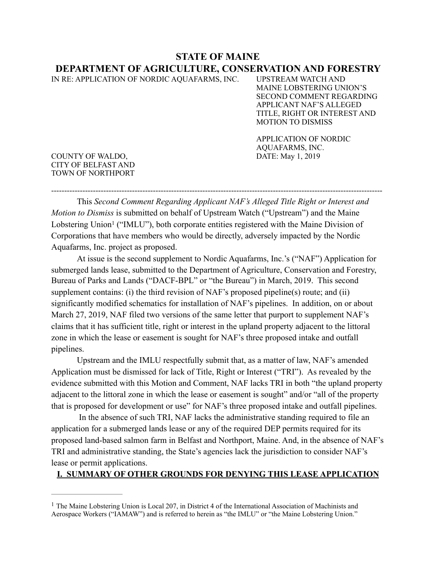# **STATE OF MAINE DEPARTMENT OF AGRICULTURE, CONSERVATION AND FORESTRY**

IN RE: APPLICATION OF NORDIC AQUAFARMS, INC. UPSTREAM WATCH AND

MAINE LOBSTERING UNION'S SECOND COMMENT REGARDING APPLICANT NAF'S ALLEGED TITLE, RIGHT OR INTEREST AND MOTION TO DISMISS

APPLICATION OF NORDIC AQUAFARMS, INC.<br>DATE: May 1, 2019

COUNTY OF WALDO, CITY OF BELFAST AND TOWN OF NORTHPORT

<span id="page-0-1"></span>This *Second Comment Regarding Applicant NAF's Alleged Title Right or Interest and Motion to Dismiss* is submitted on behalf of Upstream Watch ("Upstream") and the Maine LobsteringUnion<sup>[1](#page-0-0)</sup> ("IMLU"), both corporate entities registered with the Maine Division of Corporations that have members who would be directly, adversely impacted by the Nordic Aquafarms, Inc. project as proposed.

-------------------------------------------------------------------------------------------------------------------------------

At issue is the second supplement to Nordic Aquafarms, Inc.'s ("NAF") Application for submerged lands lease, submitted to the Department of Agriculture, Conservation and Forestry, Bureau of Parks and Lands ("DACF-BPL" or "the Bureau") in March, 2019. This second supplement contains: (i) the third revision of NAF's proposed pipeline(s) route; and (ii) significantly modified schematics for installation of NAF's pipelines. In addition, on or about March 27, 2019, NAF filed two versions of the same letter that purport to supplement NAF's claims that it has sufficient title, right or interest in the upland property adjacent to the littoral zone in which the lease or easement is sought for NAF's three proposed intake and outfall pipelines.

Upstream and the IMLU respectfully submit that, as a matter of law, NAF's amended Application must be dismissed for lack of Title, Right or Interest ("TRI"). As revealed by the evidence submitted with this Motion and Comment, NAF lacks TRI in both "the upland property adjacent to the littoral zone in which the lease or easement is sought" and/or "all of the property that is proposed for development or use" for NAF's three proposed intake and outfall pipelines.

 In the absence of such TRI, NAF lacks the administrative standing required to file an application for a submerged lands lease or any of the required DEP permits required for its proposed land-based salmon farm in Belfast and Northport, Maine. And, in the absence of NAF's TRI and administrative standing, the State's agencies lack the jurisdiction to consider NAF's lease or permit applications.

# **I. SUMMARY OF OTHER GROUNDS FOR DENYING THIS LEASE APPLICATION**

<span id="page-0-0"></span><sup>&</sup>lt;sup>[1](#page-0-1)</sup> The Maine Lobstering Union is Local 207, in District 4 of the International Association of Machinists and Aerospace Workers ("IAMAW") and is referred to herein as "the IMLU" or "the Maine Lobstering Union."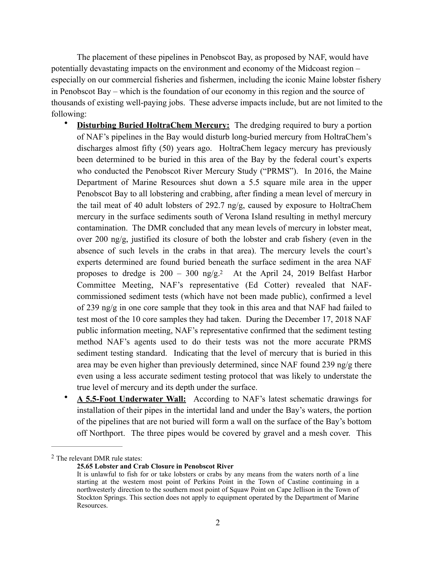The placement of these pipelines in Penobscot Bay, as proposed by NAF, would have potentially devastating impacts on the environment and economy of the Midcoast region – especially on our commercial fisheries and fishermen, including the iconic Maine lobster fishery in Penobscot Bay – which is the foundation of our economy in this region and the source of thousands of existing well-paying jobs. These adverse impacts include, but are not limited to the following:

- **Disturbing Buried HoltraChem Mercury:** The dredging required to bury a portion of NAF's pipelines in the Bay would disturb long-buried mercury from HoltraChem's discharges almost fifty (50) years ago. HoltraChem legacy mercury has previously been determined to be buried in this area of the Bay by the federal court's experts who conducted the Penobscot River Mercury Study ("PRMS"). In 2016, the Maine Department of Marine Resources shut down a 5.5 square mile area in the upper Penobscot Bay to all lobstering and crabbing, after finding a mean level of mercury in the tail meat of 40 adult lobsters of 292.7 ng/g, caused by exposure to HoltraChem mercury in the surface sediments south of Verona Island resulting in methyl mercury contamination. The DMR concluded that any mean levels of mercury in lobster meat, over 200 ng/g, justified its closure of both the lobster and crab fishery (even in the absence of such levels in the crabs in that area). The mercury levels the court's experts determined are found buried beneath the surface sediment in the area NAF proposes to dredge is  $200 - 300$  $200 - 300$  ng/g[.](#page-1-0)<sup>2</sup> At the April 24, 2019 Belfast Harbor Committee Meeting, NAF's representative (Ed Cotter) revealed that NAFcommissioned sediment tests (which have not been made public), confirmed a level of 239 ng/g in one core sample that they took in this area and that NAF had failed to test most of the 10 core samples they had taken. During the December 17, 2018 NAF public information meeting, NAF's representative confirmed that the sediment testing method NAF's agents used to do their tests was not the more accurate PRMS sediment testing standard. Indicating that the level of mercury that is buried in this area may be even higher than previously determined, since NAF found 239 ng/g there even using a less accurate sediment testing protocol that was likely to understate the true level of mercury and its depth under the surface.
- <span id="page-1-1"></span>• **A 5.5-Foot Underwater Wall:** According to NAF's latest schematic drawings for installation of their pipes in the intertidal land and under the Bay's waters, the portion of the pipelines that are not buried will form a wall on the surface of the Bay's bottom off Northport. The three pipes would be covered by gravel and a mesh cover. This

<span id="page-1-0"></span><sup>&</sup>lt;sup>[2](#page-1-1)</sup> The relevant DMR rule states:

**<sup>25.65</sup> Lobster and Crab Closure in Penobscot River** 

It is unlawful to fish for or take lobsters or crabs by any means from the waters north of a line starting at the western most point of Perkins Point in the Town of Castine continuing in a northwesterly direction to the southern most point of Squaw Point on Cape Jellison in the Town of Stockton Springs. This section does not apply to equipment operated by the Department of Marine Resources.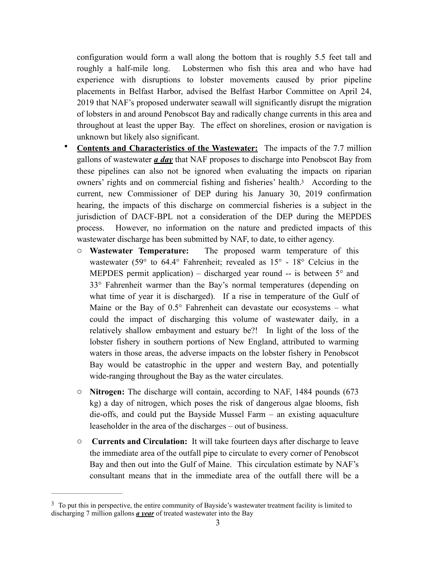configuration would form a wall along the bottom that is roughly 5.5 feet tall and roughly a half-mile long. Lobstermen who fish this area and who have had experience with disruptions to lobster movements caused by prior pipeline placements in Belfast Harbor, advised the Belfast Harbor Committee on April 24, 2019 that NAF's proposed underwater seawall will significantly disrupt the migration of lobsters in and around Penobscot Bay and radically change currents in this area and throughout at least the upper Bay. The effect on shorelines, erosion or navigation is unknown but likely also significant.

- <span id="page-2-1"></span>• **Contents and Characteristics of the Wastewater:** The impacts of the 7.7 million gallons of wastewater *a day* that NAF proposes to discharge into Penobscot Bay from these pipelines can also not be ignored when evaluating the impacts on riparian owners' rights and on commercial fishing and fisheries' health[.3](#page-2-0) According to the current, new Commissioner of DEP during his January 30, 2019 confirmation hearing, the impacts of this discharge on commercial fisheries is a subject in the jurisdiction of DACF-BPL not a consideration of the DEP during the MEPDES process. However, no information on the nature and predicted impacts of this wastewater discharge has been submitted by NAF, to date, to either agency.
	- o **Wastewater Temperature:** The proposed warm temperature of this wastewater (59° to 64.4° Fahrenheit; revealed as 15° - 18° Celcius in the MEPDES permit application) – discharged year round  $-$  is between  $5^{\circ}$  and 33° Fahrenheit warmer than the Bay's normal temperatures (depending on what time of year it is discharged). If a rise in temperature of the Gulf of Maine or the Bay of  $0.5^{\circ}$  Fahrenheit can devastate our ecosystems – what could the impact of discharging this volume of wastewater daily, in a relatively shallow embayment and estuary be?! In light of the loss of the lobster fishery in southern portions of New England, attributed to warming waters in those areas, the adverse impacts on the lobster fishery in Penobscot Bay would be catastrophic in the upper and western Bay, and potentially wide-ranging throughout the Bay as the water circulates.
	- o **Nitrogen:** The discharge will contain, according to NAF, 1484 pounds (673 kg) a day of nitrogen, which poses the risk of dangerous algae blooms, fish die-offs, and could put the Bayside Mussel Farm – an existing aquaculture leaseholder in the area of the discharges – out of business.
	- o **Currents and Circulation:** It will take fourteen days after discharge to leave the immediate area of the outfall pipe to circulate to every corner of Penobscot Bay and then out into the Gulf of Maine. This circulation estimate by NAF's consultant means that in the immediate area of the outfall there will be a

<span id="page-2-0"></span><sup>&</sup>lt;sup>[3](#page-2-1)</sup> To put this in perspective, the entire community of Bayside's wastewater treatment facility is limited to discharging 7 million gallons *a year* of treated wastewater into the Bay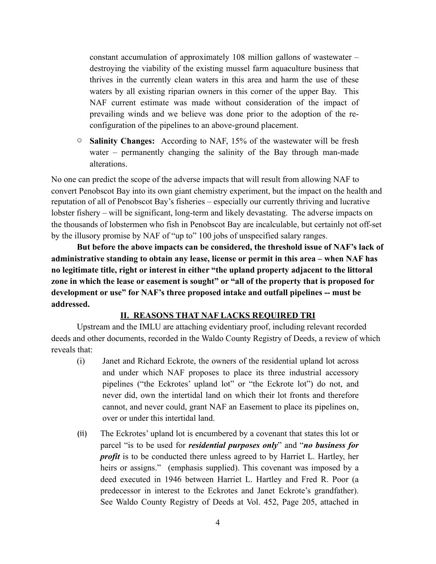constant accumulation of approximately 108 million gallons of wastewater – destroying the viability of the existing mussel farm aquaculture business that thrives in the currently clean waters in this area and harm the use of these waters by all existing riparian owners in this corner of the upper Bay. This NAF current estimate was made without consideration of the impact of prevailing winds and we believe was done prior to the adoption of the reconfiguration of the pipelines to an above-ground placement.

o **Salinity Changes:** According to NAF, 15% of the wastewater will be fresh water – permanently changing the salinity of the Bay through man-made alterations.

No one can predict the scope of the adverse impacts that will result from allowing NAF to convert Penobscot Bay into its own giant chemistry experiment, but the impact on the health and reputation of all of Penobscot Bay's fisheries – especially our currently thriving and lucrative lobster fishery – will be significant, long-term and likely devastating. The adverse impacts on the thousands of lobstermen who fish in Penobscot Bay are incalculable, but certainly not off-set by the illusory promise by NAF of "up to" 100 jobs of unspecified salary ranges.

**But before the above impacts can be considered, the threshold issue of NAF's lack of administrative standing to obtain any lease, license or permit in this area – when NAF has no legitimate title, right or interest in either "the upland property adjacent to the littoral zone in which the lease or easement is sought" or "all of the property that is proposed for development or use" for NAF's three proposed intake and outfall pipelines -- must be addressed.**

### **II. REASONS THAT NAF LACKS REQUIRED TRI**

Upstream and the IMLU are attaching evidentiary proof, including relevant recorded deeds and other documents, recorded in the Waldo County Registry of Deeds, a review of which reveals that:

- (i) Janet and Richard Eckrote, the owners of the residential upland lot across and under which NAF proposes to place its three industrial accessory pipelines ("the Eckrotes' upland lot" or "the Eckrote lot") do not, and never did, own the intertidal land on which their lot fronts and therefore cannot, and never could, grant NAF an Easement to place its pipelines on, over or under this intertidal land.
- (ii) The Eckrotes' upland lot is encumbered by a covenant that states this lot or parcel "is to be used for *residential purposes only*" and "*no business for profit* is to be conducted there unless agreed to by Harriet L. Hartley, her heirs or assigns." (emphasis supplied). This covenant was imposed by a deed executed in 1946 between Harriet L. Hartley and Fred R. Poor (a predecessor in interest to the Eckrotes and Janet Eckrote's grandfather). See Waldo County Registry of Deeds at Vol. 452, Page 205, attached in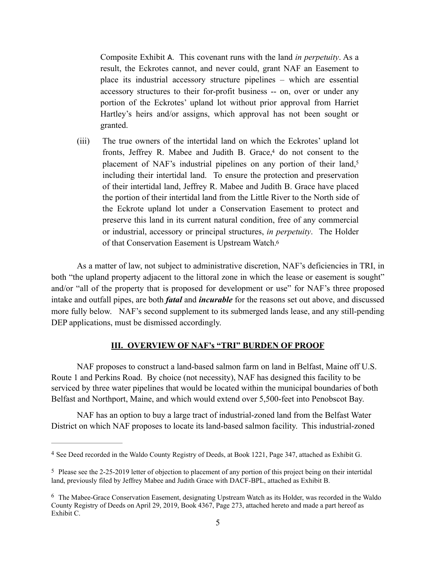<span id="page-4-4"></span><span id="page-4-3"></span>Composite Exhibit A. This covenant runs with the land *in perpetuity*. As a result, the Eckrotes cannot, and never could, grant NAF an Easement to place its industrial accessory structure pipelines – which are essential accessory structures to their for-profit business -- on, over or under any portion of the Eckrotes' upland lot without prior approval from Harriet Hartley's heirs and/or assigns, which approval has not been sought or granted.

(iii) The true owners of the intertidal land on which the Eckrotes' upland lot fronts[,](#page-4-0) Jeffrey R. Mabee and Judith B. Grace, $4$  do not consent to the placement of NAF's industrial pipelines on any portion of their land,<sup>[5](#page-4-1)</sup> including their intertidal land. To ensure the protection and preservation of their intertidal land, Jeffrey R. Mabee and Judith B. Grace have placed the portion of their intertidal land from the Little River to the North side of the Eckrote upland lot under a Conservation Easement to protect and preserve this land in its current natural condition, free of any commercial or industrial, accessory or principal structures, *in perpetuity*. The Holder of that Conservation Easement is Upstream Watch[.6](#page-4-2)

As a matter of law, not subject to administrative discretion, NAF's deficiencies in TRI, in both "the upland property adjacent to the littoral zone in which the lease or easement is sought" and/or "all of the property that is proposed for development or use" for NAF's three proposed intake and outfall pipes, are both *fatal* and *incurable* for the reasons set out above, and discussed more fully below. NAF's second supplement to its submerged lands lease, and any still-pending DEP applications, must be dismissed accordingly.

### <span id="page-4-5"></span>**III. OVERVIEW OF NAF's "TRI" BURDEN OF PROOF**

NAF proposes to construct a land-based salmon farm on land in Belfast, Maine off U.S. Route 1 and Perkins Road. By choice (not necessity), NAF has designed this facility to be serviced by three water pipelines that would be located within the municipal boundaries of both Belfast and Northport, Maine, and which would extend over 5,500-feet into Penobscot Bay.

NAF has an option to buy a large tract of industrial-zoned land from the Belfast Water District on which NAF proposes to locate its land-based salmon facility. This industrial-zoned

<span id="page-4-0"></span><sup>&</sup>lt;sup>[4](#page-4-3)</sup> See Deed recorded in the Waldo County Registry of Deeds, at Book 1221, Page 347, attached as Exhibit G.

<span id="page-4-1"></span>[<sup>5</sup>](#page-4-4) Please see the 2-25-2019 letter of objection to placement of any portion of this project being on their intertidal land, previously filed by Jeffrey Mabee and Judith Grace with DACF-BPL, attached as Exhibit B.

<span id="page-4-2"></span><sup>&</sup>lt;sup>[6](#page-4-5)</sup> The Mabee-Grace Conservation Easement, designating Upstream Watch as its Holder, was recorded in the Waldo County Registry of Deeds on April 29, 2019, Book 4367, Page 273, attached hereto and made a part hereof as Exhibit C.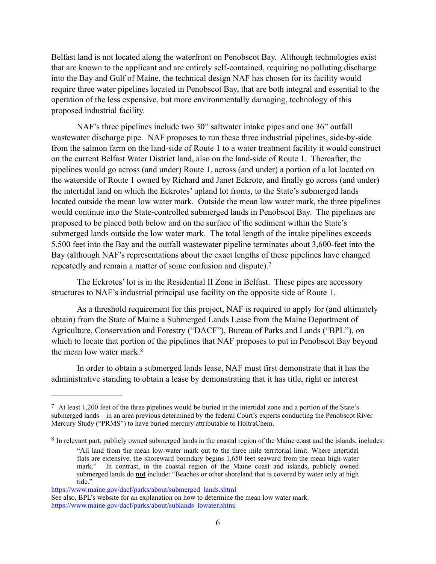Belfast land is not located along the waterfront on Penobscot Bay. Although technologies exist that are known to the applicant and are entirely self-contained, requiring no polluting discharge into the Bay and Gulf of Maine, the technical design NAF has chosen for its facility would require three water pipelines located in Penobscot Bay, that are both integral and essential to the operation of the less expensive, but more environmentally damaging, technology of this proposed industrial facility.

NAF's three pipelines include two 30" saltwater intake pipes and one 36" outfall wastewater discharge pipe. NAF proposes to run these three industrial pipelines, side-by-side from the salmon farm on the land-side of Route 1 to a water treatment facility it would construct on the current Belfast Water District land, also on the land-side of Route 1. Thereafter, the pipelines would go across (and under) Route 1, across (and under) a portion of a lot located on the waterside of Route 1 owned by Richard and Janet Eckrote, and finally go across (and under) the intertidal land on which the Eckrotes' upland lot fronts, to the State's submerged lands located outside the mean low water mark. Outside the mean low water mark, the three pipelines would continue into the State-controlled submerged lands in Penobscot Bay. The pipelines are proposed to be placed both below and on the surface of the sediment within the State's submerged lands outside the low water mark. The total length of the intake pipelines exceeds 5,500 feet into the Bay and the outfall wastewater pipeline terminates about 3,600-feet into the Bay (although NAF's representations about the exact lengths of these pipelines have changed repeatedly and remain a matter of some confusion and dispute)[.](#page-5-0) [7](#page-5-0)

<span id="page-5-2"></span>The Eckrotes' lot is in the Residential II Zone in Belfast. These pipes are accessory structures to NAF's industrial principal use facility on the opposite side of Route 1.

As a threshold requirement for this project, NAF is required to apply for (and ultimately obtain) from the State of Maine a Submerged Lands Lease from the Maine Department of Agriculture, Conservation and Forestry ("DACF"), Bureau of Parks and Lands ("BPL"), on which to locate that portion of the pipelines that NAF proposes to put in Penobscot Bay beyond the mean low water mark. [8](#page-5-1)

<span id="page-5-3"></span>In order to obtain a submerged lands lease, NAF must first demonstrate that it has the administrative standing to obtain a lease by demonstrating that it has title, right or interest

<span id="page-5-0"></span>[<sup>7</sup>](#page-5-2) At least 1,200 feet of the three pipelines would be buried in the intertidal zone and a portion of the State's submerged lands – in an area previous determined by the federal Court's experts conducting the Penobscot River Mercury Study ("PRMS") to have buried mercury attributable to HoltraChem.

<span id="page-5-1"></span><sup>&</sup>lt;sup>[8](#page-5-3)</sup> In relevant part, publicly owned submerged lands in the coastal region of the Maine coast and the islands, includes:

<sup>&</sup>quot;All land from the mean low-water mark out to the three mile territorial limit. Where intertidal flats are extensive, the shoreward boundary begins 1,650 feet seaward from the mean high-water mark." In contrast, in the coastal region of the Maine coast and islands, publicly owned submerged lands do **not** include: "Beaches or other shoreland that is covered by water only at high tide."

[https://www.maine.gov/dacf/parks/about/submerged\\_lands.shtml](https://www.maine.gov/dacf/parks/about/submerged_lands.shtml)

See also, BPL's website for an explanation on how to determine the mean low water mark. [https://www.maine.gov/dacf/parks/about/sublands\\_lowater.shtml](https://www.maine.gov/dacf/parks/about/sublands_lowater.shtml)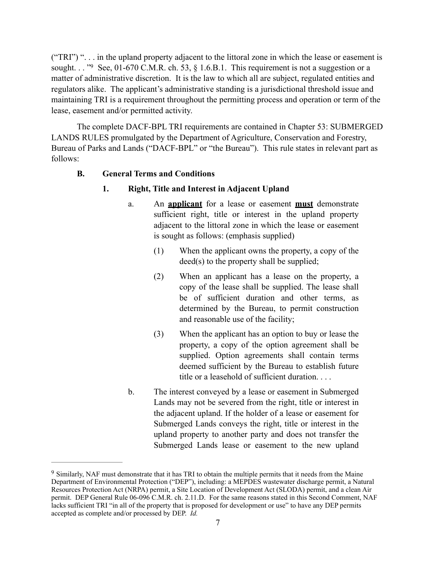<span id="page-6-1"></span>("TRI") ". . . in the upland property adjacent to the littoral zone in which the lease or easement is sought. . . ["](#page-6-0)[9](#page-6-0) See, 01-670 C.M.R. ch. 53,  $\S$  1.6.B.1. This requirement is not a suggestion or a matter of administrative discretion. It is the law to which all are subject, regulated entities and regulators alike. The applicant's administrative standing is a jurisdictional threshold issue and maintaining TRI is a requirement throughout the permitting process and operation or term of the lease, easement and/or permitted activity.

The complete DACF-BPL TRI requirements are contained in Chapter 53: SUBMERGED LANDS RULES promulgated by the Department of Agriculture, Conservation and Forestry, Bureau of Parks and Lands ("DACF-BPL" or "the Bureau"). This rule states in relevant part as follows:

### **B. General Terms and Conditions**

### **1. Right, Title and Interest in Adjacent Upland**

- a. An **applicant** for a lease or easement **must** demonstrate sufficient right, title or interest in the upland property adjacent to the littoral zone in which the lease or easement is sought as follows: (emphasis supplied)
	- (1) When the applicant owns the property, a copy of the deed(s) to the property shall be supplied;
	- (2) When an applicant has a lease on the property, a copy of the lease shall be supplied. The lease shall be of sufficient duration and other terms, as determined by the Bureau, to permit construction and reasonable use of the facility;
	- (3) When the applicant has an option to buy or lease the property, a copy of the option agreement shall be supplied. Option agreements shall contain terms deemed sufficient by the Bureau to establish future title or a leasehold of sufficient duration. . . .
- b. The interest conveyed by a lease or easement in Submerged Lands may not be severed from the right, title or interest in the adjacent upland. If the holder of a lease or easement for Submerged Lands conveys the right, title or interest in the upland property to another party and does not transfer the Submerged Lands lease or easement to the new upland

<span id="page-6-0"></span><sup>&</sup>lt;sup>[9](#page-6-1)</sup> Similarly, NAF must demonstrate that it has TRI to obtain the multiple permits that it needs from the Maine Department of Environmental Protection ("DEP"), including: a MEPDES wastewater discharge permit, a Natural Resources Protection Act (NRPA) permit, a Site Location of Development Act (SLODA) permit, and a clean Air permit. DEP General Rule 06-096 C.M.R. ch. 2.11.D. For the same reasons stated in this Second Comment, NAF lacks sufficient TRI "in all of the property that is proposed for development or use" to have any DEP permits accepted as complete and/or processed by DEP. *Id.*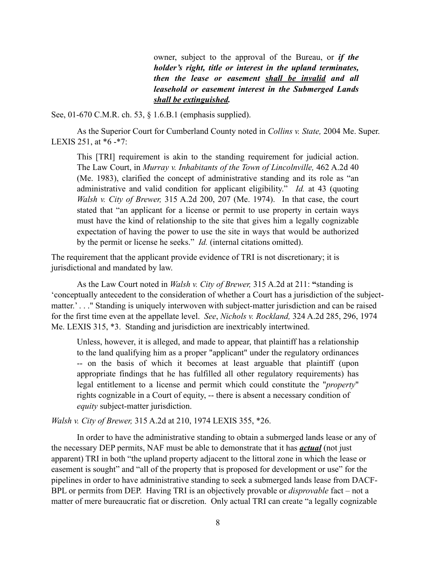owner, subject to the approval of the Bureau, or *if the holder's right, title or interest in the upland terminates, then the lease or easement shall be invalid and all leasehold or easement interest in the Submerged Lands shall be extinguished.*

See, 01-670 C.M.R. ch. 53, § 1.6.B.1 (emphasis supplied).

As the Superior Court for Cumberland County noted in *Collins v. State,* 2004 Me. Super. LEXIS 251, at \*6 -\*7:

This [TRI] requirement is akin to the standing requirement for judicial action. The Law Court, in *Murray v. Inhabitants of the Town of Lincolnville,* 462 A.2d 40 (Me. 1983), clarified the concept of administrative standing and its role as "an administrative and valid condition for applicant eligibility." *Id.* at 43 (quoting *Walsh v. City of Brewer,* 315 A.2d 200, 207 (Me. 1974). In that case, the court stated that "an applicant for a license or permit to use property in certain ways must have the kind of relationship to the site that gives him a legally cognizable expectation of having the power to use the site in ways that would be authorized by the permit or license he seeks." *Id.* (internal citations omitted).

The requirement that the applicant provide evidence of TRI is not discretionary; it is jurisdictional and mandated by law.

As the Law Court noted in *Walsh v. City of Brewer,* 315 A.2d at 211: **"**standing is 'conceptually antecedent to the consideration of whether a Court has a jurisdiction of the subjectmatter.' . . ." Standing is uniquely interwoven with subject-matter jurisdiction and can be raised for the first time even at the appellate level. *See*, *Nichols v. Rockland,* 324 A.2d 285, 296, 1974 Me. LEXIS 315, \*3. Standing and jurisdiction are inextricably intertwined.

Unless, however, it is alleged, and made to appear, that plaintiff has a relationship to the land qualifying him as a proper "applicant" under the regulatory ordinances -- on the basis of which it becomes at least arguable that plaintiff (upon appropriate findings that he has fulfilled all other regulatory requirements) has legal entitlement to a license and permit which could constitute the "*property*" rights cognizable in a Court of equity, -- there is absent a necessary condition of *equity* subject-matter jurisdiction.

*Walsh v. City of Brewer,* 315 A.2d at 210, 1974 LEXIS 355, \*26.

In order to have the administrative standing to obtain a submerged lands lease or any of the necessary DEP permits, NAF must be able to demonstrate that it has *actual* (not just apparent) TRI in both "the upland property adjacent to the littoral zone in which the lease or easement is sought" and "all of the property that is proposed for development or use" for the pipelines in order to have administrative standing to seek a submerged lands lease from DACF-BPL or permits from DEP. Having TRI is an objectively provable or *disprovable* fact – not a matter of mere bureaucratic fiat or discretion. Only actual TRI can create "a legally cognizable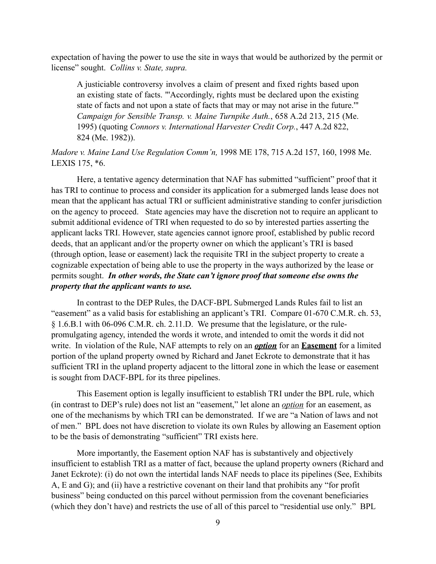expectation of having the power to use the site in ways that would be authorized by the permit or license" sought. *Collins v. State, supra.*

A justiciable controversy involves a claim of present and fixed rights based upon an existing state of facts. "'Accordingly, rights must be declared upon the existing state of facts and not upon a state of facts that may or may not arise in the future.'" *Campaign for Sensible Transp. v. Maine Turnpike Auth.*, 658 A.2d 213, 215 (Me. 1995) (quoting *Connors v. International Harvester Credit Corp.*, 447 A.2d 822, 824 (Me. 1982)).

# *Madore v. Maine Land Use Regulation Comm'n,* 1998 ME 178, 715 A.2d 157, 160, 1998 Me. LEXIS 175, \*6.

Here, a tentative agency determination that NAF has submitted "sufficient" proof that it has TRI to continue to process and consider its application for a submerged lands lease does not mean that the applicant has actual TRI or sufficient administrative standing to confer jurisdiction on the agency to proceed. State agencies may have the discretion not to require an applicant to submit additional evidence of TRI when requested to do so by interested parties asserting the applicant lacks TRI. However, state agencies cannot ignore proof, established by public record deeds, that an applicant and/or the property owner on which the applicant's TRI is based (through option, lease or easement) lack the requisite TRI in the subject property to create a cognizable expectation of being able to use the property in the ways authorized by the lease or permits sought. *In other words, the State can't ignore proof that someone else owns the property that the applicant wants to use.*

In contrast to the DEP Rules, the DACF-BPL Submerged Lands Rules fail to list an "easement" as a valid basis for establishing an applicant's TRI. Compare 01-670 C.M.R. ch. 53, § 1.6.B.1 with 06-096 C.M.R. ch. 2.11.D. We presume that the legislature, or the rulepromulgating agency, intended the words it wrote, and intended to omit the words it did not write. In violation of the Rule, NAF attempts to rely on an *option* for an **Easement** for a limited portion of the upland property owned by Richard and Janet Eckrote to demonstrate that it has sufficient TRI in the upland property adjacent to the littoral zone in which the lease or easement is sought from DACF-BPL for its three pipelines.

This Easement option is legally insufficient to establish TRI under the BPL rule, which (in contrast to DEP's rule) does not list an "easement," let alone an *option* for an easement, as one of the mechanisms by which TRI can be demonstrated. If we are "a Nation of laws and not of men." BPL does not have discretion to violate its own Rules by allowing an Easement option to be the basis of demonstrating "sufficient" TRI exists here.

More importantly, the Easement option NAF has is substantively and objectively insufficient to establish TRI as a matter of fact, because the upland property owners (Richard and Janet Eckrote): (i) do not own the intertidal lands NAF needs to place its pipelines (See, Exhibits A, E and G); and (ii) have a restrictive covenant on their land that prohibits any "for profit business" being conducted on this parcel without permission from the covenant beneficiaries (which they don't have) and restricts the use of all of this parcel to "residential use only." BPL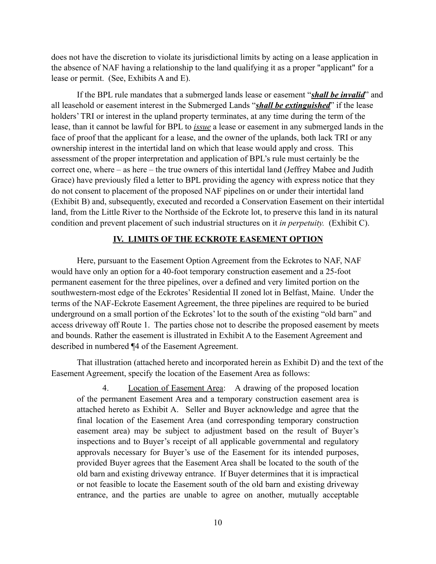does not have the discretion to violate its jurisdictional limits by acting on a lease application in the absence of NAF having a relationship to the land qualifying it as a proper "applicant" for a lease or permit. (See, Exhibits A and E).

If the BPL rule mandates that a submerged lands lease or easement "*shall be invalid*" and all leasehold or easement interest in the Submerged Lands "*shall be extinguished*" if the lease holders' TRI or interest in the upland property terminates, at any time during the term of the lease, than it cannot be lawful for BPL to *issue* a lease or easement in any submerged lands in the face of proof that the applicant for a lease, and the owner of the uplands, both lack TRI or any ownership interest in the intertidal land on which that lease would apply and cross. This assessment of the proper interpretation and application of BPL's rule must certainly be the correct one, where – as here – the true owners of this intertidal land (Jeffrey Mabee and Judith Grace) have previously filed a letter to BPL providing the agency with express notice that they do not consent to placement of the proposed NAF pipelines on or under their intertidal land (Exhibit B) and, subsequently, executed and recorded a Conservation Easement on their intertidal land, from the Little River to the Northside of the Eckrote lot, to preserve this land in its natural condition and prevent placement of such industrial structures on it *in perpetuity.* (Exhibit C).

#### **IV. LIMITS OF THE ECKROTE EASEMENT OPTION**

Here, pursuant to the Easement Option Agreement from the Eckrotes to NAF, NAF would have only an option for a 40-foot temporary construction easement and a 25-foot permanent easement for the three pipelines, over a defined and very limited portion on the southwestern-most edge of the Eckrotes' Residential II zoned lot in Belfast, Maine. Under the terms of the NAF-Eckrote Easement Agreement, the three pipelines are required to be buried underground on a small portion of the Eckrotes' lot to the south of the existing "old barn" and access driveway off Route 1. The parties chose not to describe the proposed easement by meets and bounds. Rather the easement is illustrated in Exhibit A to the Easement Agreement and described in numbered ¶4 of the Easement Agreement.

That illustration (attached hereto and incorporated herein as Exhibit D) and the text of the Easement Agreement, specify the location of the Easement Area as follows:

 4. Location of Easement Area: A drawing of the proposed location of the permanent Easement Area and a temporary construction easement area is attached hereto as Exhibit A. Seller and Buyer acknowledge and agree that the final location of the Easement Area (and corresponding temporary construction easement area) may be subject to adjustment based on the result of Buyer's inspections and to Buyer's receipt of all applicable governmental and regulatory approvals necessary for Buyer's use of the Easement for its intended purposes, provided Buyer agrees that the Easement Area shall be located to the south of the old barn and existing driveway entrance. If Buyer determines that it is impractical or not feasible to locate the Easement south of the old barn and existing driveway entrance, and the parties are unable to agree on another, mutually acceptable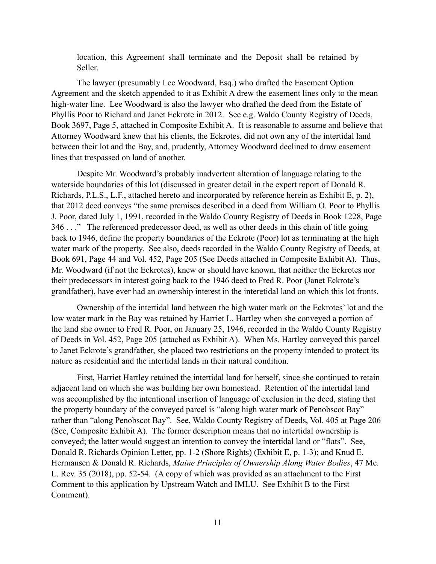location, this Agreement shall terminate and the Deposit shall be retained by Seller.

The lawyer (presumably Lee Woodward, Esq.) who drafted the Easement Option Agreement and the sketch appended to it as Exhibit A drew the easement lines only to the mean high-water line. Lee Woodward is also the lawyer who drafted the deed from the Estate of Phyllis Poor to Richard and Janet Eckrote in 2012. See e.g. Waldo County Registry of Deeds, Book 3697, Page 5, attached in Composite Exhibit A. It is reasonable to assume and believe that Attorney Woodward knew that his clients, the Eckrotes, did not own any of the intertidal land between their lot and the Bay, and, prudently, Attorney Woodward declined to draw easement lines that trespassed on land of another.

Despite Mr. Woodward's probably inadvertent alteration of language relating to the waterside boundaries of this lot (discussed in greater detail in the expert report of Donald R. Richards, P.L.S., L.F., attached hereto and incorporated by reference herein as Exhibit E, p. 2), that 2012 deed conveys "the same premises described in a deed from William O. Poor to Phyllis J. Poor, dated July 1, 1991, recorded in the Waldo County Registry of Deeds in Book 1228, Page 346 . . ." The referenced predecessor deed, as well as other deeds in this chain of title going back to 1946, define the property boundaries of the Eckrote (Poor) lot as terminating at the high water mark of the property. See also, deeds recorded in the Waldo County Registry of Deeds, at Book 691, Page 44 and Vol. 452, Page 205 (See Deeds attached in Composite Exhibit A). Thus, Mr. Woodward (if not the Eckrotes), knew or should have known, that neither the Eckrotes nor their predecessors in interest going back to the 1946 deed to Fred R. Poor (Janet Eckrote's grandfather), have ever had an ownership interest in the interetidal land on which this lot fronts.

Ownership of the intertidal land between the high water mark on the Eckrotes' lot and the low water mark in the Bay was retained by Harriet L. Hartley when she conveyed a portion of the land she owner to Fred R. Poor, on January 25, 1946, recorded in the Waldo County Registry of Deeds in Vol. 452, Page 205 (attached as Exhibit A). When Ms. Hartley conveyed this parcel to Janet Eckrote's grandfather, she placed two restrictions on the property intended to protect its nature as residential and the intertidal lands in their natural condition.

First, Harriet Hartley retained the intertidal land for herself, since she continued to retain adjacent land on which she was building her own homestead. Retention of the intertidal land was accomplished by the intentional insertion of language of exclusion in the deed, stating that the property boundary of the conveyed parcel is "along high water mark of Penobscot Bay" rather than "along Penobscot Bay". See, Waldo County Registry of Deeds, Vol. 405 at Page 206 (See, Composite Exhibit A). The former description means that no intertidal ownership is conveyed; the latter would suggest an intention to convey the intertidal land or "flats". See, Donald R. Richards Opinion Letter, pp. 1-2 (Shore Rights) (Exhibit E, p. 1-3); and Knud E. Hermansen & Donald R. Richards, *Maine Principles of Ownership Along Water Bodies*, 47 Me. L. Rev. 35 (2018), pp. 52-54. (A copy of which was provided as an attachment to the First Comment to this application by Upstream Watch and IMLU. See Exhibit B to the First Comment).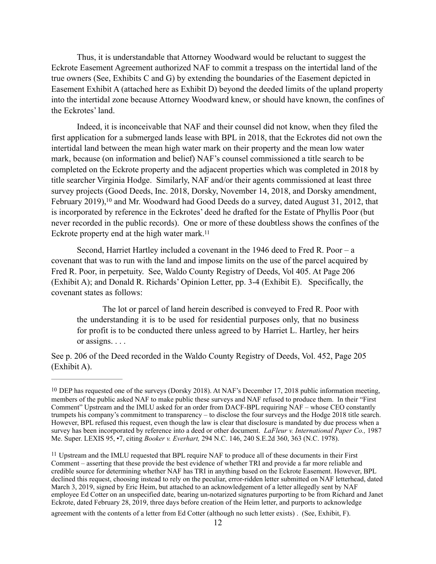Thus, it is understandable that Attorney Woodward would be reluctant to suggest the Eckrote Easement Agreement authorized NAF to commit a trespass on the intertidal land of the true owners (See, Exhibits C and G) by extending the boundaries of the Easement depicted in Easement Exhibit A (attached here as Exhibit D) beyond the deeded limits of the upland property into the intertidal zone because Attorney Woodward knew, or should have known, the confines of the Eckrotes' land.

Indeed, it is inconceivable that NAF and their counsel did not know, when they filed the first application for a submerged lands lease with BPL in 2018, that the Eckrotes did not own the intertidal land between the mean high water mark on their property and the mean low water mark, because (on information and belief) NAF's counsel commissioned a title search to be completed on the Eckrote property and the adjacent properties which was completed in 2018 by title searcher Virginia Hodge. Similarly, NAF and/or their agents commissioned at least three survey projects (Good Deeds, Inc. 2018, Dorsky, November 14, 2018, and Dorsky amendment, February 2019)[,](#page-11-0) <sup>[10](#page-11-0)</sup> and Mr. Woodward had Good Deeds do a survey, dated August 31, 2012, that is incorporated by reference in the Eckrotes' deed he drafted for the Estate of Phyllis Poor (but never recorded in the public records). One or more of these doubtless shows the confines of the Eckrote property end at the high water mark[. 11](#page-11-1)

<span id="page-11-2"></span>Second, Harriet Hartley included a covenant in the 1946 deed to Fred R. Poor – a covenant that was to run with the land and impose limits on the use of the parcel acquired by Fred R. Poor, in perpetuity. See, Waldo County Registry of Deeds, Vol 405. At Page 206 (Exhibit A); and Donald R. Richards' Opinion Letter, pp. 3-4 (Exhibit E). Specifically, the covenant states as follows:

<span id="page-11-3"></span> The lot or parcel of land herein described is conveyed to Fred R. Poor with the understanding it is to be used for residential purposes only, that no business for profit is to be conducted there unless agreed to by Harriet L. Hartley, her heirs or assigns. . . .

See p. 206 of the Deed recorded in the Waldo County Registry of Deeds, Vol. 452, Page 205 (Exhibit A).

agreement with the contents of a letter from Ed Cotter (although no such letter exists) . (See, Exhibit, F).

<span id="page-11-0"></span>[<sup>10</sup>](#page-11-2) DEP has requested one of the surveys (Dorsky 2018). At NAF's December 17, 2018 public information meeting, members of the public asked NAF to make public these surveys and NAF refused to produce them. In their "First Comment" Upstream and the IMLU asked for an order from DACF-BPL requiring NAF – whose CEO constantly trumpets his company's commitment to transparency – to disclose the four surveys and the Hodge 2018 title search. However, BPL refused this request, even though the law is clear that disclosure is mandated by due process when a survey has been incorporated by reference into a deed or other document. *LaFleur v. International Paper Co.,* 1987 Me. Super. LEXIS 95, •7, citing *Booker v. Everhart,* 294 N.C. 146, 240 S.E.2d 360, 363 (N.C. 1978).

<span id="page-11-1"></span><sup>&</sup>lt;sup>[11](#page-11-3)</sup> Upstream and the IMLU requested that BPL require NAF to produce all of these documents in their First Comment – asserting that these provide the best evidence of whether TRI and provide a far more reliable and credible source for determining whether NAF has TRI in anything based on the Eckrote Easement. However, BPL declined this request, choosing instead to rely on the peculiar, error-ridden letter submitted on NAF letterhead, dated March 3, 2019, signed by Eric Heim, but attached to an acknowledgement of a letter allegedly sent by NAF employee Ed Cotter on an unspecified date, bearing un-notarized signatures purporting to be from Richard and Janet Eckrote, dated February 28, 2019, three days before creation of the Heim letter, and purports to acknowledge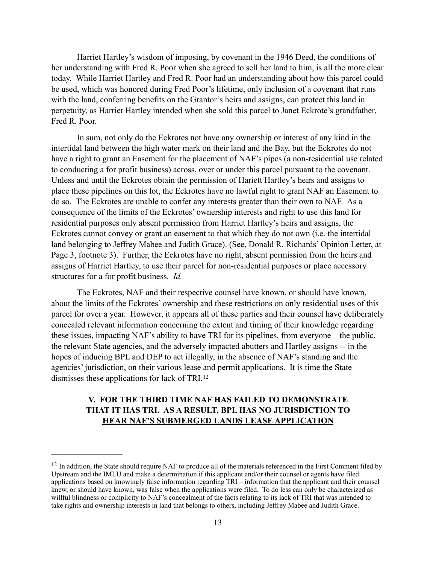Harriet Hartley's wisdom of imposing, by covenant in the 1946 Deed, the conditions of her understanding with Fred R. Poor when she agreed to sell her land to him, is all the more clear today. While Harriet Hartley and Fred R. Poor had an understanding about how this parcel could be used, which was honored during Fred Poor's lifetime, only inclusion of a covenant that runs with the land, conferring benefits on the Grantor's heirs and assigns, can protect this land in perpetuity, as Harriet Hartley intended when she sold this parcel to Janet Eckrote's grandfather, Fred R. Poor.

In sum, not only do the Eckrotes not have any ownership or interest of any kind in the intertidal land between the high water mark on their land and the Bay, but the Eckrotes do not have a right to grant an Easement for the placement of NAF's pipes (a non-residential use related to conducting a for profit business) across, over or under this parcel pursuant to the covenant. Unless and until the Eckrotes obtain the permission of Hariett Hartley's heirs and assigns to place these pipelines on this lot, the Eckrotes have no lawful right to grant NAF an Easement to do so. The Eckrotes are unable to confer any interests greater than their own to NAF. As a consequence of the limits of the Eckrotes' ownership interests and right to use this land for residential purposes only absent permission from Harriet Hartley's heirs and assigns, the Eckrotes cannot convey or grant an easement to that which they do not own (i.e. the intertidal land belonging to Jeffrey Mabee and Judith Grace). (See, Donald R. Richards' Opinion Letter, at Page 3, footnote 3). Further, the Eckrotes have no right, absent permission from the heirs and assigns of Harriet Hartley, to use their parcel for non-residential purposes or place accessory structures for a for profit business. *Id.* 

The Eckrotes, NAF and their respective counsel have known, or should have known, about the limits of the Eckrotes' ownership and these restrictions on only residential uses of this parcel for over a year. However, it appears all of these parties and their counsel have deliberately concealed relevant information concerning the extent and timing of their knowledge regarding these issues, impacting NAF's ability to have TRI for its pipelines, from everyone – the public, the relevant State agencies, and the adversely impacted abutters and Hartley assigns -- in the hopes of inducing BPL and DEP to act illegally, in the absence of NAF's standing and the agencies' jurisdiction, on their various lease and permit applications. It is time the State dismisses these applications for lack of TRI. [12](#page-12-0)

# <span id="page-12-1"></span>**V. FOR THE THIRD TIME NAF HAS FAILED TO DEMONSTRATE THAT IT HAS TRI. AS A RESULT, BPL HAS NO JURISDICTION TO HEAR NAF'S SUBMERGED LANDS LEASE APPLICATION**

<span id="page-12-0"></span> $12$  In addition, the State should require NAF to produce all of the materials referenced in the First Comment filed by Upstream and the IMLU and make a determination if this applicant and/or their counsel or agents have filed applications based on knowingly false information regarding TRI – information that the applicant and their counsel knew, or should have known, was false when the applications were filed. To do less can only be characterized as willful blindness or complicity to NAF's concealment of the facts relating to its lack of TRI that was intended to take rights and ownership interests in land that belongs to others, including Jeffrey Mabee and Judith Grace.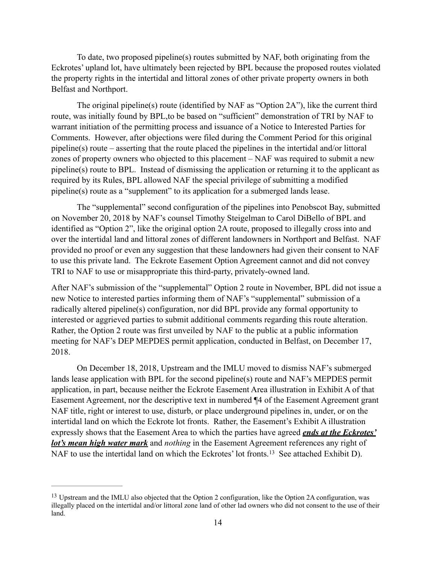To date, two proposed pipeline(s) routes submitted by NAF, both originating from the Eckrotes' upland lot, have ultimately been rejected by BPL because the proposed routes violated the property rights in the intertidal and littoral zones of other private property owners in both Belfast and Northport.

The original pipeline(s) route (identified by NAF as "Option 2A"), like the current third route, was initially found by BPL,to be based on "sufficient" demonstration of TRI by NAF to warrant initiation of the permitting process and issuance of a Notice to Interested Parties for Comments. However, after objections were filed during the Comment Period for this original pipeline(s) route – asserting that the route placed the pipelines in the intertidal and/or littoral zones of property owners who objected to this placement – NAF was required to submit a new pipeline(s) route to BPL. Instead of dismissing the application or returning it to the applicant as required by its Rules, BPL allowed NAF the special privilege of submitting a modified pipeline(s) route as a "supplement" to its application for a submerged lands lease.

The "supplemental" second configuration of the pipelines into Penobscot Bay, submitted on November 20, 2018 by NAF's counsel Timothy Steigelman to Carol DiBello of BPL and identified as "Option 2", like the original option 2A route, proposed to illegally cross into and over the intertidal land and littoral zones of different landowners in Northport and Belfast. NAF provided no proof or even any suggestion that these landowners had given their consent to NAF to use this private land. The Eckrote Easement Option Agreement cannot and did not convey TRI to NAF to use or misappropriate this third-party, privately-owned land.

After NAF's submission of the "supplemental" Option 2 route in November, BPL did not issue a new Notice to interested parties informing them of NAF's "supplemental" submission of a radically altered pipeline(s) configuration, nor did BPL provide any formal opportunity to interested or aggrieved parties to submit additional comments regarding this route alteration. Rather, the Option 2 route was first unveiled by NAF to the public at a public information meeting for NAF's DEP MEPDES permit application, conducted in Belfast, on December 17, 2018.

On December 18, 2018, Upstream and the IMLU moved to dismiss NAF's submerged lands lease application with BPL for the second pipeline(s) route and NAF's MEPDES permit application, in part, because neither the Eckrote Easement Area illustration in Exhibit A of that Easement Agreement, nor the descriptive text in numbered ¶4 of the Easement Agreement grant NAF title, right or interest to use, disturb, or place underground pipelines in, under, or on the intertidal land on which the Eckrote lot fronts. Rather, the Easement's Exhibit A illustration expressly shows that the Easement Area to which the parties have agreed *ends at the Eckrotes' lot's mean high water mark* and *nothing* in the Easement Agreement references any right of NAFto use the intertidal land on which the Eckrotes' lot fronts.<sup>[13](#page-13-0)</sup> See attached Exhibit D).

<span id="page-13-1"></span><span id="page-13-0"></span><sup>&</sup>lt;sup>[13](#page-13-1)</sup> Upstream and the IMLU also objected that the Option 2 configuration, like the Option 2A configuration, was illegally placed on the intertidal and/or littoral zone land of other lad owners who did not consent to the use of their land.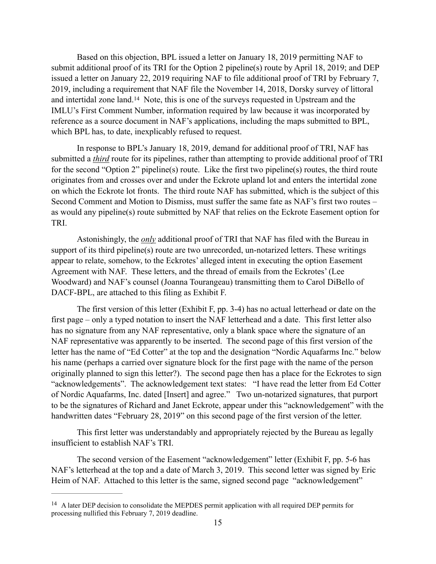<span id="page-14-1"></span>Based on this objection, BPL issued a letter on January 18, 2019 permitting NAF to submit additional proof of its TRI for the Option 2 pipeline(s) route by April 18, 2019; and DEP issued a letter on January 22, 2019 requiring NAF to file additional proof of TRI by February 7, 2019, including a requirement that NAF file the November 14, 2018, Dorsky survey of littoral andintertidal zone land.<sup>[14](#page-14-0)</sup> Note, this is one of the surveys requested in Upstream and the IMLU's First Comment Number, information required by law because it was incorporated by reference as a source document in NAF's applications, including the maps submitted to BPL, which BPL has, to date, inexplicably refused to request.

In response to BPL's January 18, 2019, demand for additional proof of TRI, NAF has submitted a *third* route for its pipelines, rather than attempting to provide additional proof of TRI for the second "Option 2" pipeline(s) route. Like the first two pipeline(s) routes, the third route originates from and crosses over and under the Eckrote upland lot and enters the intertidal zone on which the Eckrote lot fronts. The third route NAF has submitted, which is the subject of this Second Comment and Motion to Dismiss, must suffer the same fate as NAF's first two routes – as would any pipeline(s) route submitted by NAF that relies on the Eckrote Easement option for TRI.

Astonishingly, the *only* additional proof of TRI that NAF has filed with the Bureau in support of its third pipeline(s) route are two unrecorded, un-notarized letters. These writings appear to relate, somehow, to the Eckrotes' alleged intent in executing the option Easement Agreement with NAF. These letters, and the thread of emails from the Eckrotes' (Lee Woodward) and NAF's counsel (Joanna Tourangeau) transmitting them to Carol DiBello of DACF-BPL, are attached to this filing as Exhibit F.

The first version of this letter (Exhibit F, pp. 3-4) has no actual letterhead or date on the first page – only a typed notation to insert the NAF letterhead and a date. This first letter also has no signature from any NAF representative, only a blank space where the signature of an NAF representative was apparently to be inserted. The second page of this first version of the letter has the name of "Ed Cotter" at the top and the designation "Nordic Aquafarms Inc." below his name (perhaps a carried over signature block for the first page with the name of the person originally planned to sign this letter?). The second page then has a place for the Eckrotes to sign "acknowledgements". The acknowledgement text states: "I have read the letter from Ed Cotter of Nordic Aquafarms, Inc. dated [Insert] and agree." Two un-notarized signatures, that purport to be the signatures of Richard and Janet Eckrote, appear under this "acknowledgement" with the handwritten dates "February 28, 2019" on this second page of the first version of the letter.

This first letter was understandably and appropriately rejected by the Bureau as legally insufficient to establish NAF's TRI.

The second version of the Easement "acknowledgement" letter (Exhibit F, pp. 5-6 has NAF's letterhead at the top and a date of March 3, 2019. This second letter was signed by Eric Heim of NAF. Attached to this letter is the same, signed second page "acknowledgement"

<span id="page-14-0"></span><sup>&</sup>lt;sup>[14](#page-14-1)</sup> A later DEP decision to consolidate the MEPDES permit application with all required DEP permits for processing nullified this February 7, 2019 deadline.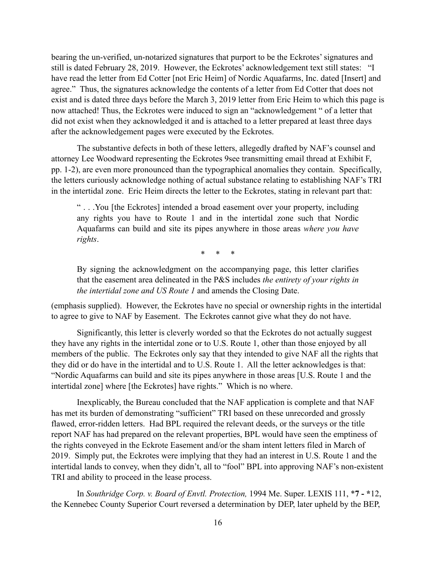bearing the un-verified, un-notarized signatures that purport to be the Eckrotes' signatures and still is dated February 28, 2019. However, the Eckrotes' acknowledgement text still states: "I have read the letter from Ed Cotter [not Eric Heim] of Nordic Aquafarms, Inc. dated [Insert] and agree." Thus, the signatures acknowledge the contents of a letter from Ed Cotter that does not exist and is dated three days before the March 3, 2019 letter from Eric Heim to which this page is now attached! Thus, the Eckrotes were induced to sign an "acknowledgement " of a letter that did not exist when they acknowledged it and is attached to a letter prepared at least three days after the acknowledgement pages were executed by the Eckrotes.

The substantive defects in both of these letters, allegedly drafted by NAF's counsel and attorney Lee Woodward representing the Eckrotes 9see transmitting email thread at Exhibit F, pp. 1-2), are even more pronounced than the typographical anomalies they contain. Specifically, the letters curiously acknowledge nothing of actual substance relating to establishing NAF's TRI in the intertidal zone. Eric Heim directs the letter to the Eckrotes, stating in relevant part that:

" . . .You [the Eckrotes] intended a broad easement over your property, including any rights you have to Route 1 and in the intertidal zone such that Nordic Aquafarms can build and site its pipes anywhere in those areas *where you have rights*.

\* \* \*

By signing the acknowledgment on the accompanying page, this letter clarifies that the easement area delineated in the P&S includes *the entirety of your rights in the intertidal zone and US Route 1* and amends the Closing Date.

(emphasis supplied). However, the Eckrotes have no special or ownership rights in the intertidal to agree to give to NAF by Easement. The Eckrotes cannot give what they do not have.

 Significantly, this letter is cleverly worded so that the Eckrotes do not actually suggest they have any rights in the intertidal zone or to U.S. Route 1, other than those enjoyed by all members of the public. The Eckrotes only say that they intended to give NAF all the rights that they did or do have in the intertidal and to U.S. Route 1. All the letter acknowledges is that: "Nordic Aquafarms can build and site its pipes anywhere in those areas [U.S. Route 1 and the intertidal zone] where [the Eckrotes] have rights." Which is no where.

Inexplicably, the Bureau concluded that the NAF application is complete and that NAF has met its burden of demonstrating "sufficient" TRI based on these unrecorded and grossly flawed, error-ridden letters. Had BPL required the relevant deeds, or the surveys or the title report NAF has had prepared on the relevant properties, BPL would have seen the emptiness of the rights conveyed in the Eckrote Easement and/or the sham intent letters filed in March of 2019. Simply put, the Eckrotes were implying that they had an interest in U.S. Route 1 and the intertidal lands to convey, when they didn't, all to "fool" BPL into approving NAF's non-existent TRI and ability to proceed in the lease process.

In *Southridge Corp. v. Board of Envtl. Protection,* 1994 Me. Super. LEXIS 111, \***7 - \***12, the Kennebec County Superior Court reversed a determination by DEP, later upheld by the BEP,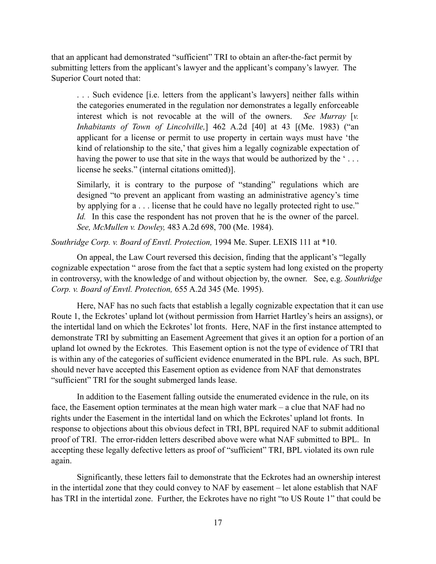that an applicant had demonstrated "sufficient" TRI to obtain an after-the-fact permit by submitting letters from the applicant's lawyer and the applicant's company's lawyer. The Superior Court noted that:

. . . Such evidence [i.e. letters from the applicant's lawyers] neither falls within the categories enumerated in the regulation nor demonstrates a legally enforceable interest which is not revocable at the will of the owners. *See Murray* [*v. Inhabitants of Town of Lincolville,*] 462 A.2d [40] at 43 [(Me. 1983) ("an applicant for a license or permit to use property in certain ways must have 'the kind of relationship to the site,' that gives him a legally cognizable expectation of having the power to use that site in the ways that would be authorized by the '... license he seeks." (internal citations omitted)].

Similarly, it is contrary to the purpose of "standing" regulations which are designed "to prevent an applicant from wasting an administrative agency's time by applying for a . . . license that he could have no legally protected right to use." *Id.* In this case the respondent has not proven that he is the owner of the parcel. *See, McMullen v. Dowley,* 483 A.2d 698, 700 (Me. 1984).

*Southridge Corp. v. Board of Envtl. Protection,* 1994 Me. Super. LEXIS 111 at \*10.

 On appeal, the Law Court reversed this decision, finding that the applicant's "legally cognizable expectation " arose from the fact that a septic system had long existed on the property in controversy, with the knowledge of and without objection by, the owner. See, e.g. *Southridge Corp. v. Board of Envtl. Protection,* 655 A.2d 345 (Me. 1995).

 Here, NAF has no such facts that establish a legally cognizable expectation that it can use Route 1, the Eckrotes' upland lot (without permission from Harriet Hartley's heirs an assigns), or the intertidal land on which the Eckrotes' lot fronts. Here, NAF in the first instance attempted to demonstrate TRI by submitting an Easement Agreement that gives it an option for a portion of an upland lot owned by the Eckrotes. This Easement option is not the type of evidence of TRI that is within any of the categories of sufficient evidence enumerated in the BPL rule. As such, BPL should never have accepted this Easement option as evidence from NAF that demonstrates "sufficient" TRI for the sought submerged lands lease.

In addition to the Easement falling outside the enumerated evidence in the rule, on its face, the Easement option terminates at the mean high water mark – a clue that NAF had no rights under the Easement in the intertidal land on which the Eckrotes' upland lot fronts. In response to objections about this obvious defect in TRI, BPL required NAF to submit additional proof of TRI. The error-ridden letters described above were what NAF submitted to BPL. In accepting these legally defective letters as proof of "sufficient" TRI, BPL violated its own rule again.

Significantly, these letters fail to demonstrate that the Eckrotes had an ownership interest in the intertidal zone that they could convey to NAF by easement – let alone establish that NAF has TRI in the intertidal zone. Further, the Eckrotes have no right "to US Route 1" that could be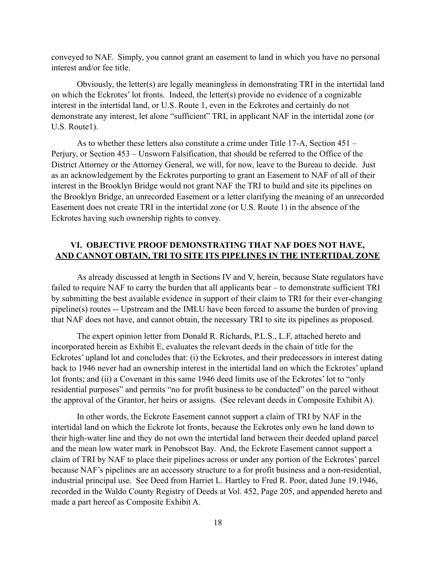conveyed to NAF. Simply, you cannot grant an easement to land in which you have no personal interest and/or fee title.

Obviously, the letter(s) are legally meaningless in demonstrating TRI in the intertidal land on which the Eckrotes' lot fronts. Indeed, the letter(s) provide no evidence of a cognizable interest in the intertidal land, or U.S. Route 1, even in the Eckrotes and certainly do not demonstrate any interest, let alone "sufficient" TRI, in applicant NAF in the intertidal zone (or U.S. Route1).

As to whether these letters also constitute a crime under Title 17-A, Section 451 – Perjury, or Section 453 – Unsworn Falsification, that should be referred to the Office of the District Attorney or the Attorney General, we will, for now, leave to the Bureau to decide. Just as an acknowledgement by the Eckrotes purporting to grant an Easement to NAF of all of their interest in the Brooklyn Bridge would not grant NAF the TRI to build and site its pipelines on the Brooklyn Bridge, an unrecorded Easement or a letter clarifying the meaning of an unrecorded Easement does not create TRI in the intertidal zone (or U.S. Route 1) in the absence of the Eckrotes having such ownership rights to convey.

### **VI. OBJECTIVE PROOF DEMONSTRATING THAT NAF DOES NOT HAVE, AND CANNOT OBTAIN, TRI TO SITE ITS PIPELINES IN THE INTERTIDAL ZONE**

As already discussed at length in Sections IV and V, herein, because State regulators have failed to require NAF to carry the burden that all applicants bear – to demonstrate sufficient TRI by submitting the best available evidence in support of their claim to TRI for their ever-changing pipeline(s) routes -- Upstream and the IMLU have been forced to assume the burden of proving that NAF does not have, and cannot obtain, the necessary TRI to site its pipelines as proposed.

The expert opinion letter from Donald R. Richards, P.L.S., L.F, attached hereto and incorporated herein as Exhibit E, evaluates the relevant deeds in the chain of title for the Eckrotes' upland lot and concludes that: (i) the Eckrotes, and their predecessors in interest dating back to 1946 never had an ownership interest in the intertidal land on which the Eckrotes' upland lot fronts; and (ii) a Covenant in this same 1946 deed limits use of the Eckrotes' lot to "only residential purposes" and permits "no for profit business to be conducted" on the parcel without the approval of the Grantor, her heirs or assigns. (See relevant deeds in Composite Exhibit A).

In other words, the Eckrote Easement cannot support a claim of TRI by NAF in the intertidal land on which the Eckrote lot fronts, because the Eckrotes only own he land down to their high-water line and they do not own the intertidal land between their deeded upland parcel and the mean low water mark in Penobscot Bay. And, the Eckrote Easement cannot support a claim of TRI by NAF to place their pipelines across or under any portion of the Eckrotes' parcel because NAF's pipelines are an accessory structure to a for profit business and a non-residential, industrial principal use. See Deed from Harriet L. Hartley to Fred R. Poor, dated June 19.1946, recorded in the Waldo County Registry of Deeds at Vol. 452, Page 205, and appended hereto and made a part hereof as Composite Exhibit A.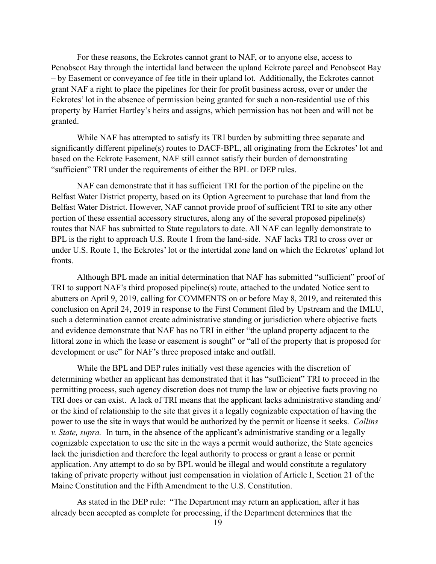For these reasons, the Eckrotes cannot grant to NAF, or to anyone else, access to Penobscot Bay through the intertidal land between the upland Eckrote parcel and Penobscot Bay – by Easement or conveyance of fee title in their upland lot. Additionally, the Eckrotes cannot grant NAF a right to place the pipelines for their for profit business across, over or under the Eckrotes' lot in the absence of permission being granted for such a non-residential use of this property by Harriet Hartley's heirs and assigns, which permission has not been and will not be granted.

While NAF has attempted to satisfy its TRI burden by submitting three separate and significantly different pipeline(s) routes to DACF-BPL, all originating from the Eckrotes' lot and based on the Eckrote Easement, NAF still cannot satisfy their burden of demonstrating "sufficient" TRI under the requirements of either the BPL or DEP rules.

NAF can demonstrate that it has sufficient TRI for the portion of the pipeline on the Belfast Water District property, based on its Option Agreement to purchase that land from the Belfast Water District. However, NAF cannot provide proof of sufficient TRI to site any other portion of these essential accessory structures, along any of the several proposed pipeline(s) routes that NAF has submitted to State regulators to date. All NAF can legally demonstrate to BPL is the right to approach U.S. Route 1 from the land-side. NAF lacks TRI to cross over or under U.S. Route 1, the Eckrotes' lot or the intertidal zone land on which the Eckrotes' upland lot fronts.

Although BPL made an initial determination that NAF has submitted "sufficient" proof of TRI to support NAF's third proposed pipeline(s) route, attached to the undated Notice sent to abutters on April 9, 2019, calling for COMMENTS on or before May 8, 2019, and reiterated this conclusion on April 24, 2019 in response to the First Comment filed by Upstream and the IMLU, such a determination cannot create administrative standing or jurisdiction where objective facts and evidence demonstrate that NAF has no TRI in either "the upland property adjacent to the littoral zone in which the lease or easement is sought" or "all of the property that is proposed for development or use" for NAF's three proposed intake and outfall.

While the BPL and DEP rules initially vest these agencies with the discretion of determining whether an applicant has demonstrated that it has "sufficient" TRI to proceed in the permitting process, such agency discretion does not trump the law or objective facts proving no TRI does or can exist. A lack of TRI means that the applicant lacks administrative standing and/ or the kind of relationship to the site that gives it a legally cognizable expectation of having the power to use the site in ways that would be authorized by the permit or license it seeks. *Collins v. State, supra.* In turn, in the absence of the applicant's administrative standing or a legally cognizable expectation to use the site in the ways a permit would authorize, the State agencies lack the jurisdiction and therefore the legal authority to process or grant a lease or permit application. Any attempt to do so by BPL would be illegal and would constitute a regulatory taking of private property without just compensation in violation of Article I, Section 21 of the Maine Constitution and the Fifth Amendment to the U.S. Constitution.

As stated in the DEP rule: "The Department may return an application, after it has already been accepted as complete for processing, if the Department determines that the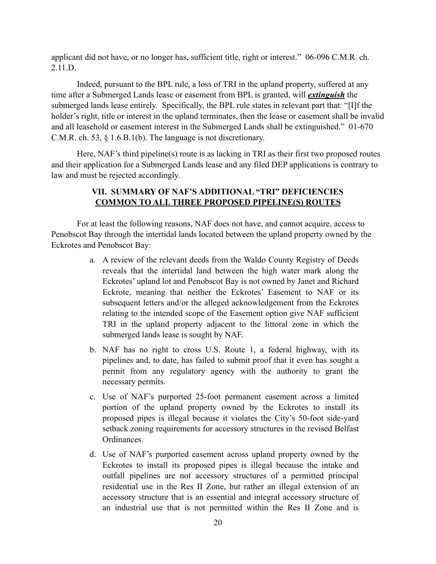applicant did not have, or no longer has, sufficient title, right or interest." 06-096 C.M.R. ch. 2.11.D.

Indeed, pursuant to the BPL rule, a loss of TRI in the upland property, suffered at any time after a Submerged Lands lease or easement from BPL is granted, will *extinguish* the submerged lands lease entirely. Specifically, the BPL rule states in relevant part that: "[I]f the holder's right, title or interest in the upland terminates, then the lease or easement shall be invalid and all leasehold or easement interest in the Submerged Lands shall be extinguished." 01-670 C.M.R. ch. 53, § 1.6.B.1(b). The language is not discretionary.

Here, NAF's third pipeline(s) route is as lacking in TRI as their first two proposed routes and their application for a Submerged Lands lease and any filed DEP applications is contrary to law and must be rejected accordingly.

### **VII. SUMMARY OF NAF'S ADDITIONAL "TRI" DEFICIENCIES COMMON TO ALL THREE PROPOSED PIPELINE(S) ROUTES**

For at least the following reasons, NAF does not have, and cannot acquire, access to Penobscot Bay through the intertidal lands located between the upland property owned by the Eckrotes and Penobscot Bay:

- a. A review of the relevant deeds from the Waldo County Registry of Deeds reveals that the intertidal land between the high water mark along the Eckrotes' upland lot and Penobscot Bay is not owned by Janet and Richard Eckrote, meaning that neither the Eckrotes' Easement to NAF or its subsequent letters and/or the alleged acknowledgement from the Eckrotes relating to the intended scope of the Easement option give NAF sufficient TRI in the upland property adjacent to the littoral zone in which the submerged lands lease is sought by NAF.
- b. NAF has no right to cross U.S. Route 1, a federal highway, with its pipelines and, to date, has failed to submit proof that it even has sought a permit from any regulatory agency with the authority to grant the necessary permits.
- c. Use of NAF's purported 25-foot permanent easement across a limited portion of the upland property owned by the Eckrotes to install its proposed pipes is illegal because it violates the City's 50-foot side-yard setback zoning requirements for accessory structures in the revised Belfast Ordinances.
- d. Use of NAF's purported easement across upland property owned by the Eckrotes to install its proposed pipes is illegal because the intake and outfall pipelines are not accessory structures of a permitted principal residential use in the Res II Zone, but rather an illegal extension of an accessory structure that is an essential and integral accessory structure of an industrial use that is not permitted within the Res II Zone and is